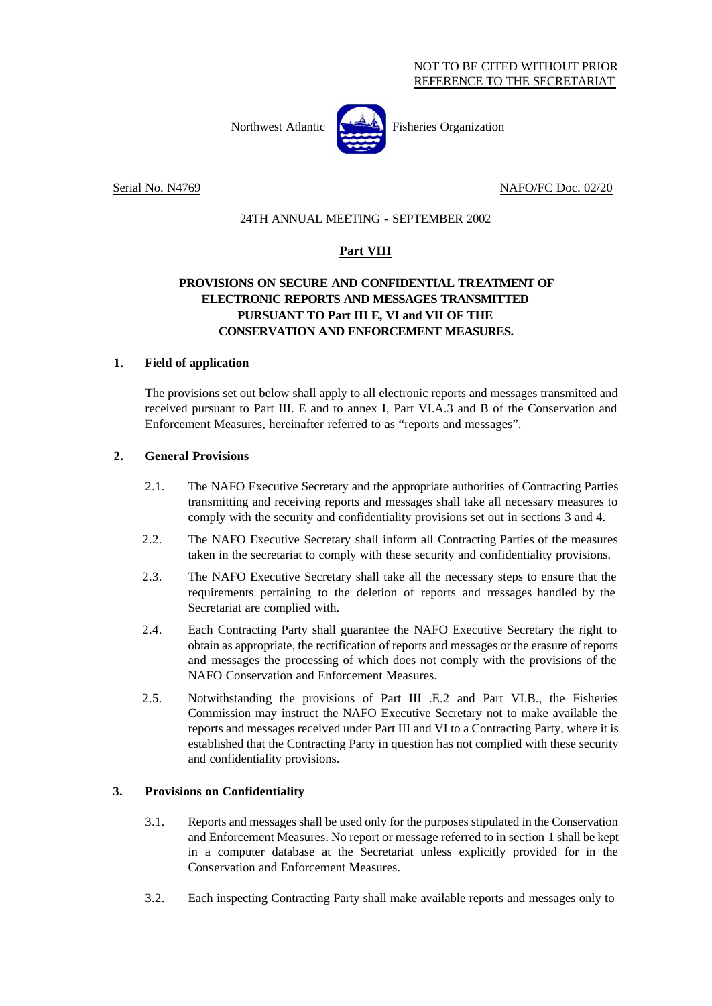Northwest Atlantic **Fisheries** Organization



Serial No. N4769 NAFO/FC Doc. 02/20

# 24TH ANNUAL MEETING - SEPTEMBER 2002

# **Part VIII**

# **PROVISIONS ON SECURE AND CONFIDENTIAL TREATMENT OF ELECTRONIC REPORTS AND MESSAGES TRANSMITTED PURSUANT TO Part III E, VI and VII OF THE CONSERVATION AND ENFORCEMENT MEASURES.**

### **1. Field of application**

The provisions set out below shall apply to all electronic reports and messages transmitted and received pursuant to Part III. E and to annex I, Part VI.A.3 and B of the Conservation and Enforcement Measures, hereinafter referred to as "reports and messages".

### **2. General Provisions**

- 2.1. The NAFO Executive Secretary and the appropriate authorities of Contracting Parties transmitting and receiving reports and messages shall take all necessary measures to comply with the security and confidentiality provisions set out in sections 3 and 4.
- 2.2. The NAFO Executive Secretary shall inform all Contracting Parties of the measures taken in the secretariat to comply with these security and confidentiality provisions.
- 2.3. The NAFO Executive Secretary shall take all the necessary steps to ensure that the requirements pertaining to the deletion of reports and messages handled by the Secretariat are complied with.
- 2.4. Each Contracting Party shall guarantee the NAFO Executive Secretary the right to obtain as appropriate, the rectification of reports and messages or the erasure of reports and messages the processing of which does not comply with the provisions of the NAFO Conservation and Enforcement Measures.
- 2.5. Notwithstanding the provisions of Part III .E.2 and Part VI.B., the Fisheries Commission may instruct the NAFO Executive Secretary not to make available the reports and messages received under Part III and VI to a Contracting Party, where it is established that the Contracting Party in question has not complied with these security and confidentiality provisions.

### **3. Provisions on Confidentiality**

- 3.1. Reports and messages shall be used only for the purposes stipulated in the Conservation and Enforcement Measures. No report or message referred to in section 1 shall be kept in a computer database at the Secretariat unless explicitly provided for in the Conservation and Enforcement Measures.
- 3.2. Each inspecting Contracting Party shall make available reports and messages only to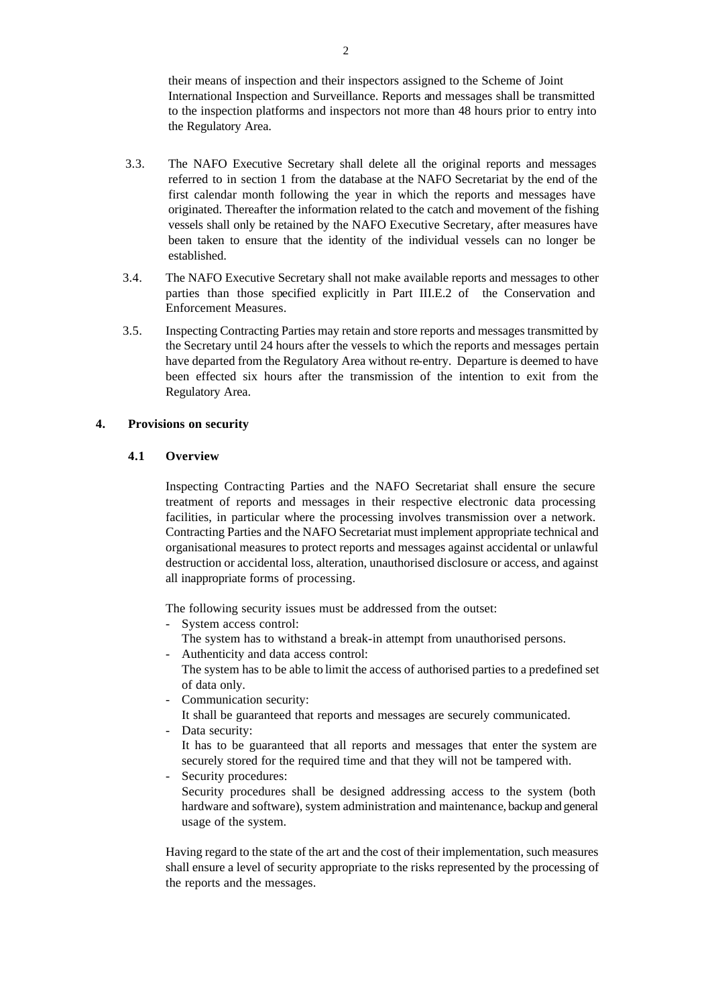their means of inspection and their inspectors assigned to the Scheme of Joint International Inspection and Surveillance. Reports and messages shall be transmitted to the inspection platforms and inspectors not more than 48 hours prior to entry into the Regulatory Area.

- 3.3. The NAFO Executive Secretary shall delete all the original reports and messages referred to in section 1 from the database at the NAFO Secretariat by the end of the first calendar month following the year in which the reports and messages have originated. Thereafter the information related to the catch and movement of the fishing vessels shall only be retained by the NAFO Executive Secretary, after measures have been taken to ensure that the identity of the individual vessels can no longer be established.
- 3.4. The NAFO Executive Secretary shall not make available reports and messages to other parties than those specified explicitly in Part III.E.2 of the Conservation and Enforcement Measures.
- 3.5. Inspecting Contracting Parties may retain and store reports and messages transmitted by the Secretary until 24 hours after the vessels to which the reports and messages pertain have departed from the Regulatory Area without re-entry. Departure is deemed to have been effected six hours after the transmission of the intention to exit from the Regulatory Area.

#### **4. Provisions on security**

#### **4.1 Overview**

Inspecting Contracting Parties and the NAFO Secretariat shall ensure the secure treatment of reports and messages in their respective electronic data processing facilities, in particular where the processing involves transmission over a network. Contracting Parties and the NAFO Secretariat must implement appropriate technical and organisational measures to protect reports and messages against accidental or unlawful destruction or accidental loss, alteration, unauthorised disclosure or access, and against all inappropriate forms of processing.

The following security issues must be addressed from the outset:

- System access control:
	- The system has to withstand a break-in attempt from unauthorised persons.
- Authenticity and data access control: The system has to be able to limit the access of authorised parties to a predefined set of data only.
- Communication security:

It shall be guaranteed that reports and messages are securely communicated.

- Data security: It has to be guaranteed that all reports and messages that enter the system are securely stored for the required time and that they will not be tampered with.
- Security procedures: Security procedures shall be designed addressing access to the system (both hardware and software), system administration and maintenance, backup and general usage of the system.

Having regard to the state of the art and the cost of their implementation, such measures shall ensure a level of security appropriate to the risks represented by the processing of the reports and the messages.